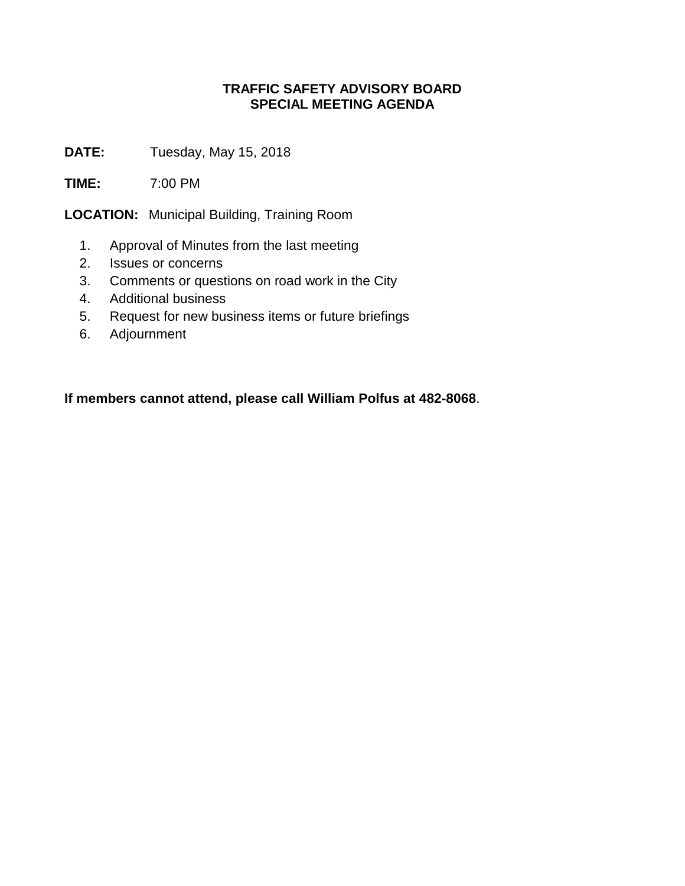## **TRAFFIC SAFETY ADVISORY BOARD SPECIAL MEETING AGENDA**

**DATE:** Tuesday, May 15, 2018

**TIME:** 7:00 PM

**LOCATION:** Municipal Building, Training Room

- 1. Approval of Minutes from the last meeting
- 2. Issues or concerns
- 3. Comments or questions on road work in the City
- 4. Additional business
- 5. Request for new business items or future briefings
- 6. Adjournment

**If members cannot attend, please call William Polfus at 482-8068**.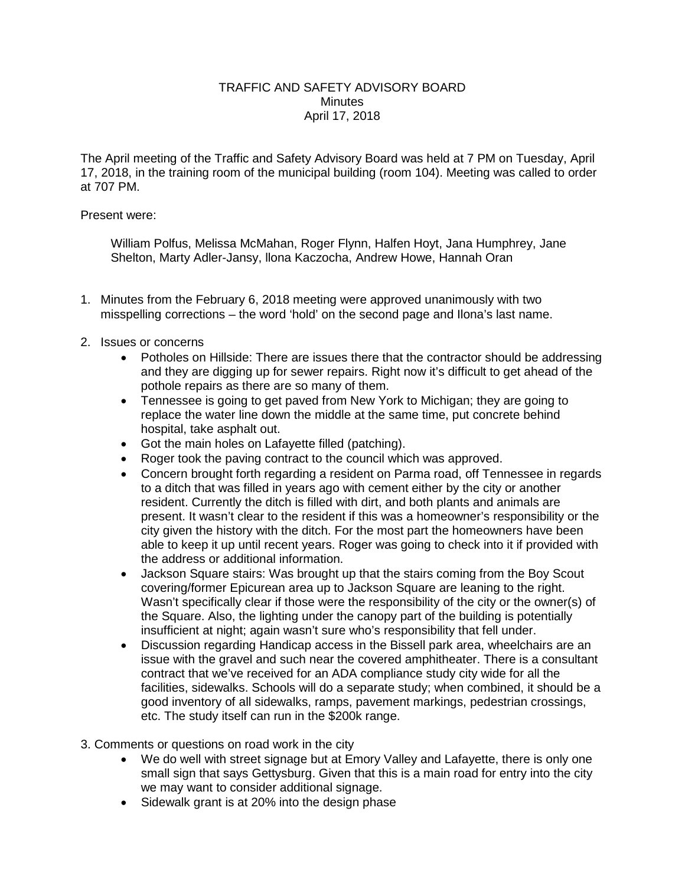## TRAFFIC AND SAFETY ADVISORY BOARD **Minutes** April 17, 2018

The April meeting of the Traffic and Safety Advisory Board was held at 7 PM on Tuesday, April 17, 2018, in the training room of the municipal building (room 104). Meeting was called to order at 707 PM.

## Present were:

William Polfus, Melissa McMahan, Roger Flynn, Halfen Hoyt, Jana Humphrey, Jane Shelton, Marty Adler-Jansy, llona Kaczocha, Andrew Howe, Hannah Oran

- 1. Minutes from the February 6, 2018 meeting were approved unanimously with two misspelling corrections – the word 'hold' on the second page and Ilona's last name.
- 2. Issues or concerns
	- Potholes on Hillside: There are issues there that the contractor should be addressing and they are digging up for sewer repairs. Right now it's difficult to get ahead of the pothole repairs as there are so many of them.
	- Tennessee is going to get paved from New York to Michigan; they are going to replace the water line down the middle at the same time, put concrete behind hospital, take asphalt out.
	- Got the main holes on Lafayette filled (patching).
	- Roger took the paving contract to the council which was approved.
	- Concern brought forth regarding a resident on Parma road, off Tennessee in regards to a ditch that was filled in years ago with cement either by the city or another resident. Currently the ditch is filled with dirt, and both plants and animals are present. It wasn't clear to the resident if this was a homeowner's responsibility or the city given the history with the ditch. For the most part the homeowners have been able to keep it up until recent years. Roger was going to check into it if provided with the address or additional information.
	- Jackson Square stairs: Was brought up that the stairs coming from the Boy Scout covering/former Epicurean area up to Jackson Square are leaning to the right. Wasn't specifically clear if those were the responsibility of the city or the owner(s) of the Square. Also, the lighting under the canopy part of the building is potentially insufficient at night; again wasn't sure who's responsibility that fell under.
	- Discussion regarding Handicap access in the Bissell park area, wheelchairs are an issue with the gravel and such near the covered amphitheater. There is a consultant contract that we've received for an ADA compliance study city wide for all the facilities, sidewalks. Schools will do a separate study; when combined, it should be a good inventory of all sidewalks, ramps, pavement markings, pedestrian crossings, etc. The study itself can run in the \$200k range.
- 3. Comments or questions on road work in the city
	- We do well with street signage but at Emory Valley and Lafayette, there is only one small sign that says Gettysburg. Given that this is a main road for entry into the city we may want to consider additional signage.
	- Sidewalk grant is at 20% into the design phase